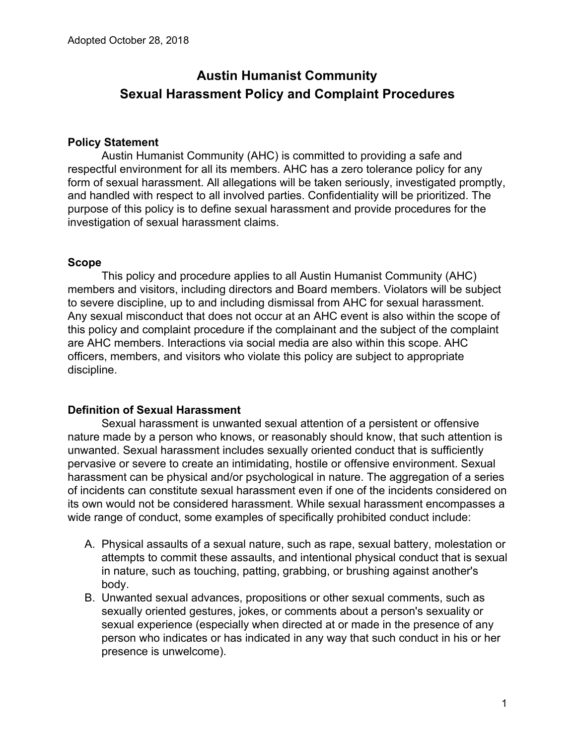# **Austin Humanist Community Sexual Harassment Policy and Complaint Procedures**

#### **Policy Statement**

Austin Humanist Community (AHC) is committed to providing a safe and respectful environment for all its members. AHC has a zero tolerance policy for any form of sexual harassment. All allegations will be taken seriously, investigated promptly, and handled with respect to all involved parties. Confidentiality will be prioritized. The purpose of this policy is to define sexual harassment and provide procedures for the investigation of sexual harassment claims.

#### **Scope**

This policy and procedure applies to all Austin Humanist Community (AHC) members and visitors, including directors and Board members. Violators will be subject to severe discipline, up to and including dismissal from AHC for sexual harassment. Any sexual misconduct that does not occur at an AHC event is also within the scope of this policy and complaint procedure if the complainant and the subject of the complaint are AHC members. Interactions via social media are also within this scope. AHC officers, members, and visitors who violate this policy are subject to appropriate discipline.

## **Definition of Sexual Harassment**

Sexual harassment is unwanted sexual attention of a persistent or offensive nature made by a person who knows, or reasonably should know, that such attention is unwanted. Sexual harassment includes sexually oriented conduct that is sufficiently pervasive or severe to create an intimidating, hostile or offensive environment. Sexual harassment can be physical and/or psychological in nature. The aggregation of a series of incidents can constitute sexual harassment even if one of the incidents considered on its own would not be considered harassment. While sexual harassment encompasses a wide range of conduct, some examples of specifically prohibited conduct include:

- A. Physical assaults of a sexual nature, such as rape, sexual battery, molestation or attempts to commit these assaults, and intentional physical conduct that is sexual in nature, such as touching, patting, grabbing, or brushing against another's body.
- B. Unwanted sexual advances, propositions or other sexual comments, such as sexually oriented gestures, jokes, or comments about a person's sexuality or sexual experience (especially when directed at or made in the presence of any person who indicates or has indicated in any way that such conduct in his or her presence is unwelcome).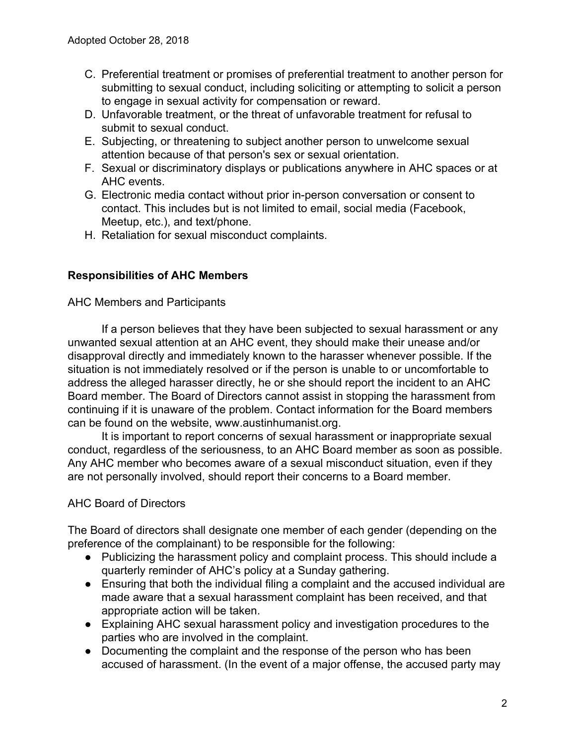- C. Preferential treatment or promises of preferential treatment to another person for submitting to sexual conduct, including soliciting or attempting to solicit a person to engage in sexual activity for compensation or reward.
- D. Unfavorable treatment, or the threat of unfavorable treatment for refusal to submit to sexual conduct.
- E. Subjecting, or threatening to subject another person to unwelcome sexual attention because of that person's sex or sexual orientation.
- F. Sexual or discriminatory displays or publications anywhere in AHC spaces or at AHC events.
- G. Electronic media contact without prior in-person conversation or consent to contact. This includes but is not limited to email, social media (Facebook, Meetup, etc.), and text/phone.
- H. Retaliation for sexual misconduct complaints.

## **Responsibilities of AHC Members**

AHC Members and Participants

If a person believes that they have been subjected to sexual harassment or any unwanted sexual attention at an AHC event, they should make their unease and/or disapproval directly and immediately known to the harasser whenever possible. If the situation is not immediately resolved or if the person is unable to or uncomfortable to address the alleged harasser directly, he or she should report the incident to an AHC Board member. The Board of Directors cannot assist in stopping the harassment from continuing if it is unaware of the problem. Contact information for the Board members can be found on the website, www.austinhumanist.org.

It is important to report concerns of sexual harassment or inappropriate sexual conduct, regardless of the seriousness, to an AHC Board member as soon as possible. Any AHC member who becomes aware of a sexual misconduct situation, even if they are not personally involved, should report their concerns to a Board member.

## AHC Board of Directors

The Board of directors shall designate one member of each gender (depending on the preference of the complainant) to be responsible for the following:

- Publicizing the harassment policy and complaint process. This should include a quarterly reminder of AHC's policy at a Sunday gathering.
- Ensuring that both the individual filing a complaint and the accused individual are made aware that a sexual harassment complaint has been received, and that appropriate action will be taken.
- Explaining AHC sexual harassment policy and investigation procedures to the parties who are involved in the complaint.
- Documenting the complaint and the response of the person who has been accused of harassment. (In the event of a major offense, the accused party may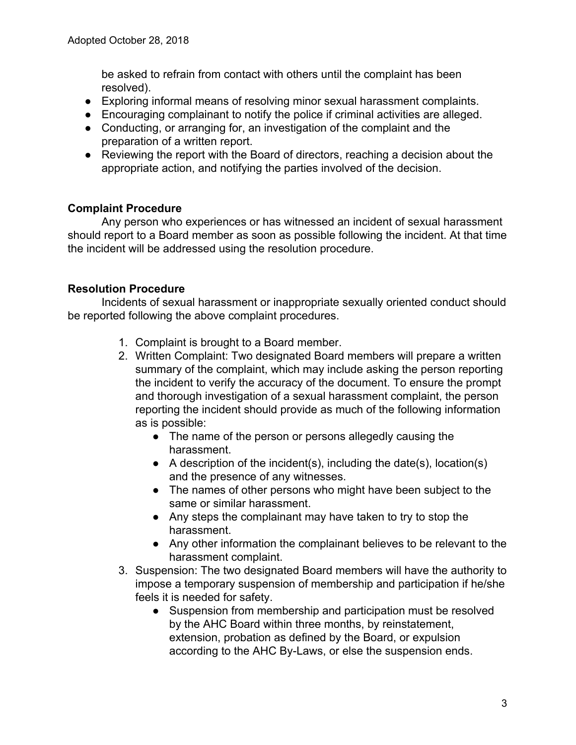be asked to refrain from contact with others until the complaint has been resolved).

- Exploring informal means of resolving minor sexual harassment complaints.
- Encouraging complainant to notify the police if criminal activities are alleged.
- Conducting, or arranging for, an investigation of the complaint and the preparation of a written report.
- Reviewing the report with the Board of directors, reaching a decision about the appropriate action, and notifying the parties involved of the decision.

## **Complaint Procedure**

Any person who experiences or has witnessed an incident of sexual harassment should report to a Board member as soon as possible following the incident. At that time the incident will be addressed using the resolution procedure.

## **Resolution Procedure**

Incidents of sexual harassment or inappropriate sexually oriented conduct should be reported following the above complaint procedures.

- 1. Complaint is brought to a Board member.
- 2. Written Complaint: Two designated Board members will prepare a written summary of the complaint, which may include asking the person reporting the incident to verify the accuracy of the document. To ensure the prompt and thorough investigation of a sexual harassment complaint, the person reporting the incident should provide as much of the following information as is possible:
	- The name of the person or persons allegedly causing the harassment.
	- $\bullet$  A description of the incident(s), including the date(s), location(s) and the presence of any witnesses.
	- The names of other persons who might have been subject to the same or similar harassment.
	- Any steps the complainant may have taken to try to stop the harassment.
	- Any other information the complainant believes to be relevant to the harassment complaint.
- 3. Suspension: The two designated Board members will have the authority to impose a temporary suspension of membership and participation if he/she feels it is needed for safety.
	- Suspension from membership and participation must be resolved by the AHC Board within three months, by reinstatement, extension, probation as defined by the Board, or expulsion according to the AHC By-Laws, or else the suspension ends.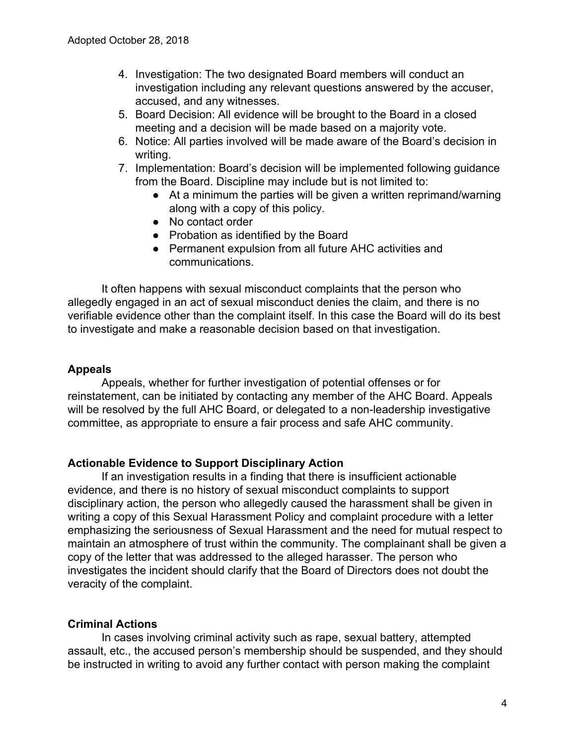- 4. Investigation: The two designated Board members will conduct an investigation including any relevant questions answered by the accuser, accused, and any witnesses.
- 5. Board Decision: All evidence will be brought to the Board in a closed meeting and a decision will be made based on a majority vote.
- 6. Notice: All parties involved will be made aware of the Board's decision in writing.
- 7. Implementation: Board's decision will be implemented following guidance from the Board. Discipline may include but is not limited to:
	- At a minimum the parties will be given a written reprimand/warning along with a copy of this policy.
	- No contact order
	- Probation as identified by the Board
	- Permanent expulsion from all future AHC activities and communications.

It often happens with sexual misconduct complaints that the person who allegedly engaged in an act of sexual misconduct denies the claim, and there is no verifiable evidence other than the complaint itself. In this case the Board will do its best to investigate and make a reasonable decision based on that investigation.

## **Appeals**

Appeals, whether for further investigation of potential offenses or for reinstatement, can be initiated by contacting any member of the AHC Board. Appeals will be resolved by the full AHC Board, or delegated to a non-leadership investigative committee, as appropriate to ensure a fair process and safe AHC community.

## **Actionable Evidence to Support Disciplinary Action**

If an investigation results in a finding that there is insufficient actionable evidence, and there is no history of sexual misconduct complaints to support disciplinary action, the person who allegedly caused the harassment shall be given in writing a copy of this Sexual Harassment Policy and complaint procedure with a letter emphasizing the seriousness of Sexual Harassment and the need for mutual respect to maintain an atmosphere of trust within the community. The complainant shall be given a copy of the letter that was addressed to the alleged harasser. The person who investigates the incident should clarify that the Board of Directors does not doubt the veracity of the complaint.

## **Criminal Actions**

In cases involving criminal activity such as rape, sexual battery, attempted assault, etc., the accused person's membership should be suspended, and they should be instructed in writing to avoid any further contact with person making the complaint